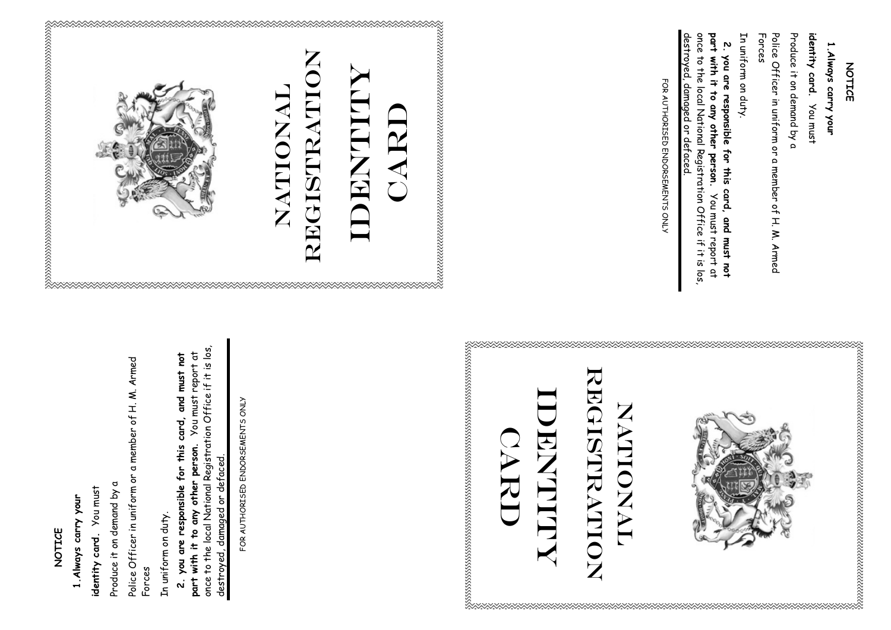## **NOTICE**  NOTICE

## **1.Always carry your**  1. Always carry your

You must **identity card.** You must identity card.

Produce it on demand by a Produce it on demand by a

Police Officer in uniform or a member of H. M. Armed Police Officer in uniform or a member of H. M. Armed Forces

In uniform on duty. In uniform on duty.

once to the local National Registration Office if it is los, once to the local National Registration Office if it is los, **2. you are responsible for this card, and must not part with it to any other person.** You must report at You must report at 2. you are responsible for this card, and must not with it to any other person. destroyed, damaged or defaced. destroyed, damaged or defaced part

FOR AUTHORISED ENDORSEMENTS ONLY FOR AUTHORISED ENDORSEMENTS ONLY





## IDENTITY NULLANT **CARD**

## **NOTICE NOTICE**

http://www.archive.com/www.archive.com/www.archive.com/www.archive.com/www.archive.com/

**identity card.** 1. Always carry your **1.Always carry your** 

Produce it on demand by a Produce it on demand by a identity card. You must

Forces Police Officer in uniform or a member of H. M. Armed Police Officer in uniform or a member of H. M. Armed

In uniform on duty. In uniform on duty.

destroyed, damaged or defaced destroyed, damaged or defaced. once to the local National Registration Office if it is los once to the local National Registration Office if it is los, part with it to any other **part with it to any other person.**  $\mathbf{v}$ **2. you are responsible for this card, and must not**  you are responsible for this card, and must not person. You must report at You must report at

FOR AUTHORISED ENDORSEMENTS ONLY FOR AUTHORISED ENDORSEMENTS ONLY